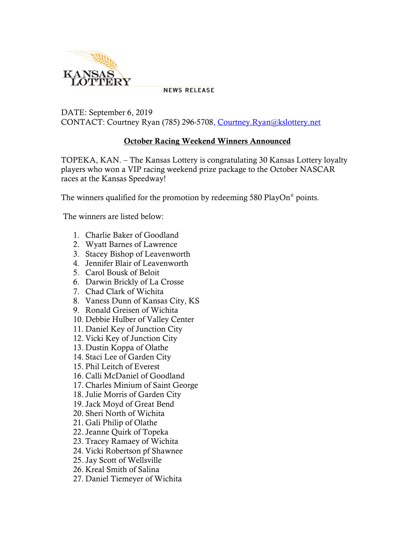

**NEWS RELEASE** 

DATE: September 6, 2019 CONTACT: Courtney Ryan (785) 296-5708, [Courtney.Ryan@kslottery.net](mailto:Courtney.Ryan@kslottery.net)

## **October Racing Weekend Winners Announced**

TOPEKA, KAN. – The Kansas Lottery is congratulating 30 Kansas Lottery loyalty players who won a VIP racing weekend prize package to the October NASCAR races at the Kansas Speedway!

The winners qualified for the promotion by redeeming 580 PlayOn® points.

The winners are listed below:

- 1. Charlie Baker of Goodland
- 2. Wyatt Barnes of Lawrence
- 3. Stacey Bishop of Leavenworth
- 4. Jennifer Blair of Leavenworth
- 5. Carol Bousk of Beloit
- 6. Darwin Brickly of La Crosse
- 7. Chad Clark of Wichita
- 8. Vaness Dunn of Kansas City, KS
- 9. Ronald Greisen of Wichita
- 10. Debbie Hulber of Valley Center
- 11. Daniel Key of Junction City
- 12. Vicki Key of Junction City
- 13. Dustin Koppa of Olathe
- 14. Staci Lee of Garden City
- 15. Phil Leitch of Everest
- 16. Calli McDaniel of Goodland
- 17. Charles Minium of Saint George
- 18. Julie Morris of Garden City
- 19. Jack Moyd of Great Bend
- 20. Sheri North of Wichita
- 21. Gali Philip of Olathe
- 22. Jeanne Quirk of Topeka
- 23. Tracey Ramaey of Wichita
- 24. Vicki Robertson pf Shawnee
- 25. Jay Scott of Wellsville
- 26. Kreal Smith of Salina
- 27. Daniel Tiemeyer of Wichita